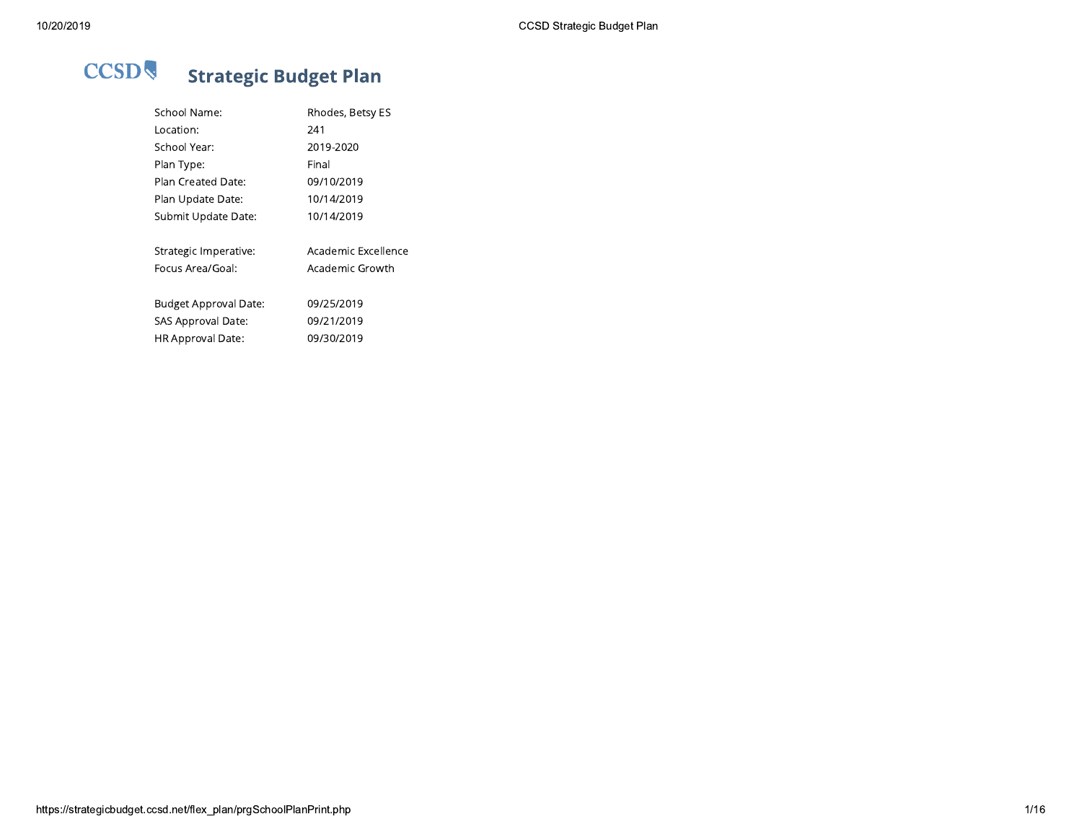| School Name:          | Rhodes, Betsy ES    |
|-----------------------|---------------------|
| Location:             | 241                 |
| School Year:          | 2019-2020           |
| Plan Type:            | Final               |
| Plan Created Date:    | 09/10/2019          |
| Plan Update Date:     | 10/14/2019          |
| Submit Update Date:   | 10/14/2019          |
| Strategic Imperative: | Academic Excellence |
| Focus Area/Goal:      | Academic Growth     |
| Budget Approval Date: | 09/25/2019          |
| SAS Approval Date:    | 09/21/2019          |
| HR Approval Date:     | 09/30/2019          |
|                       |                     |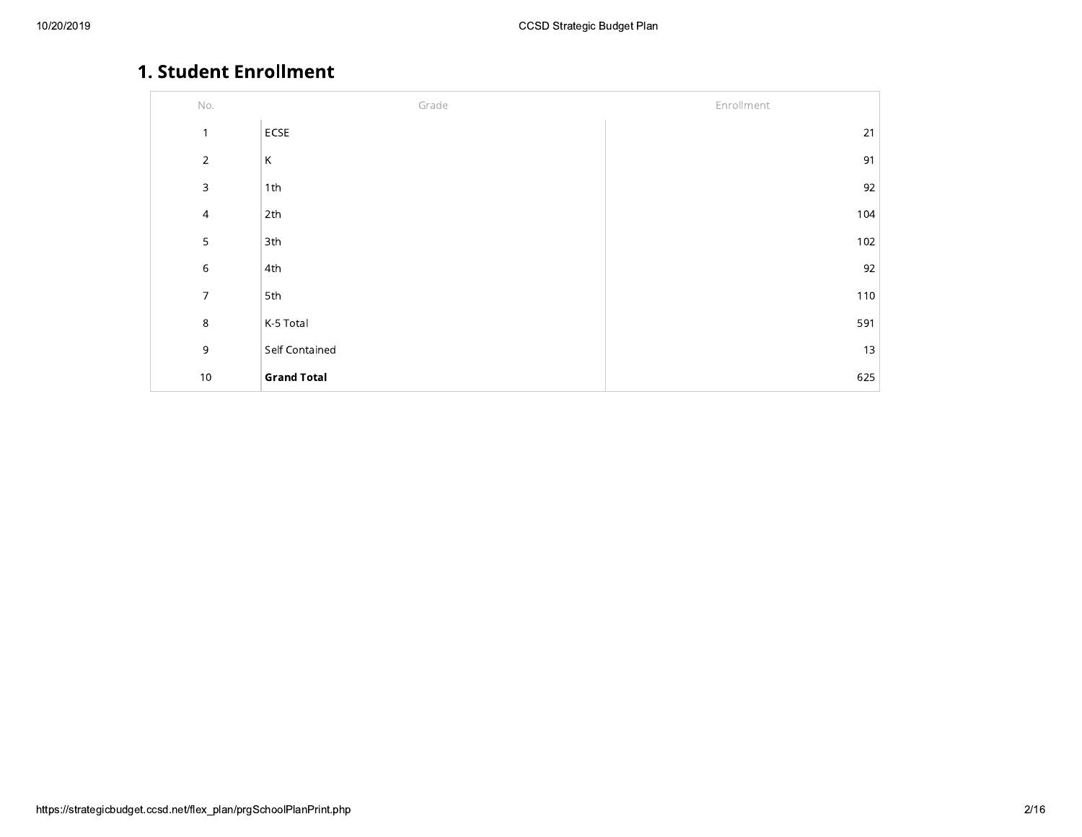## 1. Student Enrollment

| $\mathsf{No}.$           | Grade              | Enrollment |
|--------------------------|--------------------|------------|
| $\mathbf{1}$             | ECSE               | 21         |
| $\sqrt{2}$               | К                  | 91         |
| $\mathsf 3$              | 1th                | 92         |
| $\overline{\mathcal{A}}$ | 2th                | 104        |
| 5                        | 3th                | 102        |
| $\,$ 6 $\,$              | 4th                | 92         |
| $\overline{7}$           | 5th                | 110        |
| $\,8\,$                  | K-5 Total          | 591        |
| $\mathsf 9$              | Self Contained     | 13         |
| $10$                     | <b>Grand Total</b> | 625        |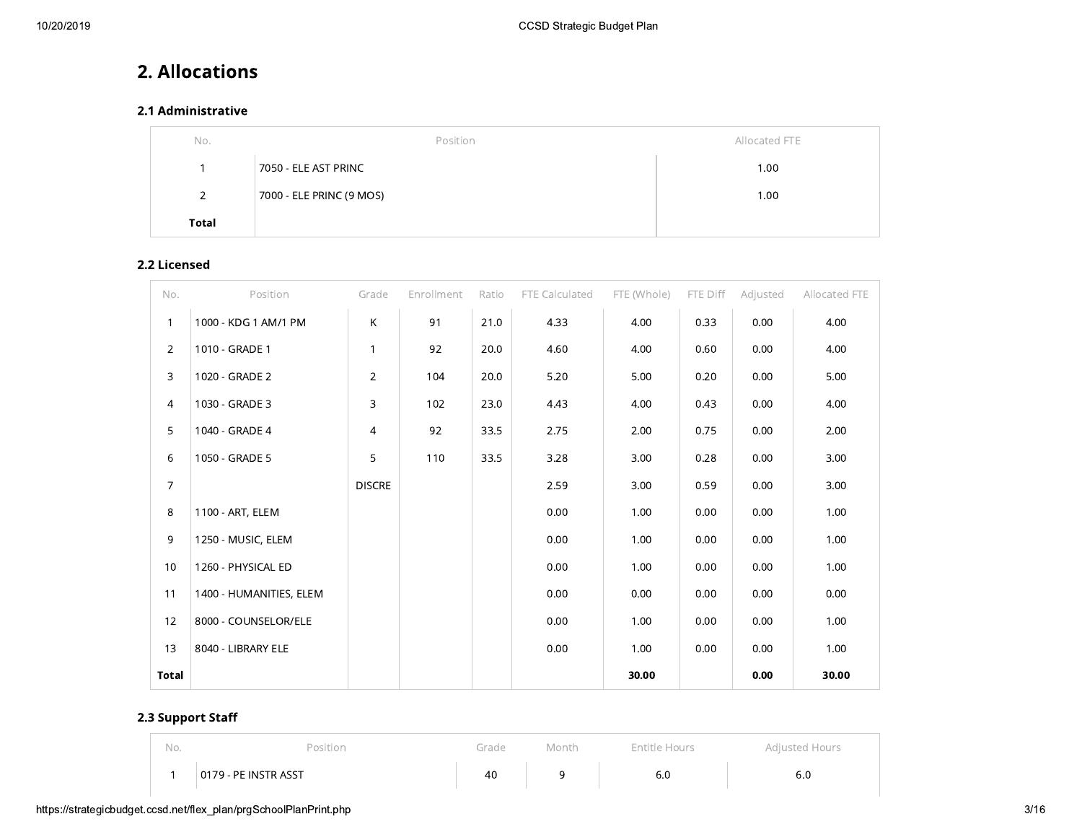## 2. Allocations

## 2.1 Administrative

| No.   | Position                 | Allocated FTE |
|-------|--------------------------|---------------|
|       | 7050 - ELE AST PRINC     | 1.00          |
| 2     | 7000 - ELE PRINC (9 MOS) | 1.00          |
| Total |                          |               |

## 2.2 Licensed

| No.            | Position                | Grade          | Enrollment | Ratio | FTE Calculated | FTE (Whole) | FTE Diff | Adjusted | Allocated FTE |
|----------------|-------------------------|----------------|------------|-------|----------------|-------------|----------|----------|---------------|
| $\mathbf{1}$   | 1000 - KDG 1 AM/1 PM    | K              | 91         | 21.0  | 4.33           | 4.00        | 0.33     | 0.00     | 4.00          |
| $\overline{2}$ | 1010 - GRADE 1          | $\mathbf{1}$   | 92         | 20.0  | 4.60           | 4.00        | 0.60     | 0.00     | 4.00          |
| 3              | 1020 - GRADE 2          | $\overline{2}$ | 104        | 20.0  | 5.20           | 5.00        | 0.20     | 0.00     | 5.00          |
| $\overline{4}$ | 1030 - GRADE 3          | 3              | 102        | 23.0  | 4.43           | 4.00        | 0.43     | 0.00     | 4.00          |
| 5              | 1040 - GRADE 4          | $\overline{4}$ | 92         | 33.5  | 2.75           | 2.00        | 0.75     | 0.00     | 2.00          |
| 6              | 1050 - GRADE 5          | 5              | 110        | 33.5  | 3.28           | 3.00        | 0.28     | 0.00     | 3.00          |
| $\overline{7}$ |                         | <b>DISCRE</b>  |            |       | 2.59           | 3.00        | 0.59     | 0.00     | 3.00          |
| 8              | 1100 - ART, ELEM        |                |            |       | 0.00           | 1.00        | 0.00     | 0.00     | 1.00          |
| 9              | 1250 - MUSIC, ELEM      |                |            |       | 0.00           | 1.00        | 0.00     | 0.00     | 1.00          |
| 10             | 1260 - PHYSICAL ED      |                |            |       | 0.00           | 1.00        | 0.00     | 0.00     | 1.00          |
| 11             | 1400 - HUMANITIES, ELEM |                |            |       | 0.00           | 0.00        | 0.00     | 0.00     | 0.00          |
| 12             | 8000 - COUNSELOR/ELE    |                |            |       | 0.00           | 1.00        | 0.00     | 0.00     | 1.00          |
| 13             | 8040 - LIBRARY ELE      |                |            |       | 0.00           | 1.00        | 0.00     | 0.00     | 1.00          |
| Total          |                         |                |            |       |                | 30.00       |          | 0.00     | 30.00         |

## 2.3 Support Staff

| No. | 'osition             | Grade | Month | Entitle Hours | Adiusted Hours |
|-----|----------------------|-------|-------|---------------|----------------|
|     | 0179 - PE INSTR ASST | 40    |       | 6.0           | b.L            |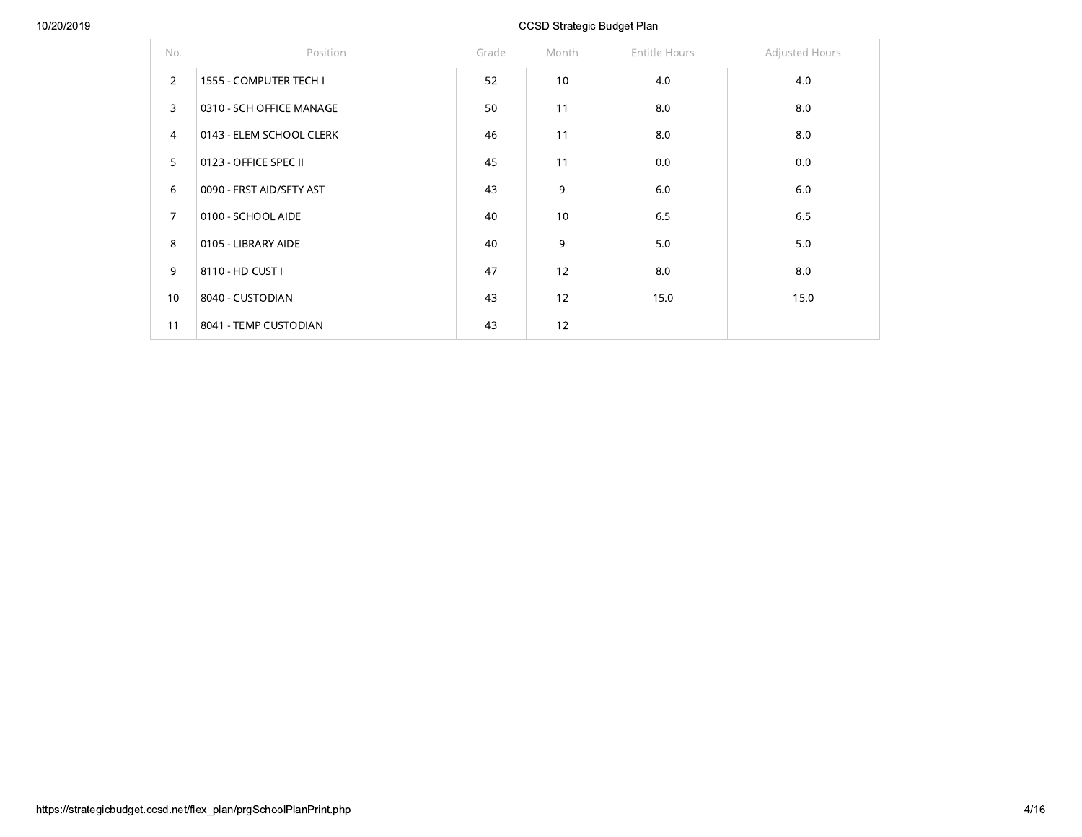| No.            | Position                 | Grade | Month | Entitle Hours | Adjusted Hours |
|----------------|--------------------------|-------|-------|---------------|----------------|
| $\overline{2}$ | 1555 - COMPUTER TECH I   | 52    | 10    | 4.0           | 4.0            |
| 3              | 0310 - SCH OFFICE MANAGE | 50    | 11    | 8.0           | 8.0            |
| $\overline{4}$ | 0143 - ELEM SCHOOL CLERK | 46    | 11    | 8.0           | 8.0            |
| 5              | 0123 - OFFICE SPEC II    | 45    | 11    | 0.0           | 0.0            |
| 6              | 0090 - FRST AID/SFTY AST | 43    | 9     | 6.0           | 6.0            |
| $\overline{7}$ | 0100 - SCHOOL AIDE       | 40    | 10    | 6.5           | 6.5            |
| 8              | 0105 - LIBRARY AIDE      | 40    | 9     | 5.0           | 5.0            |
| 9              | 8110 - HD CUST I         | 47    | 12    | 8.0           | 8.0            |
| 10             | 8040 - CUSTODIAN         | 43    | 12    | 15.0          | 15.0           |
| 11             | 8041 - TEMP CUSTODIAN    | 43    | 12    |               |                |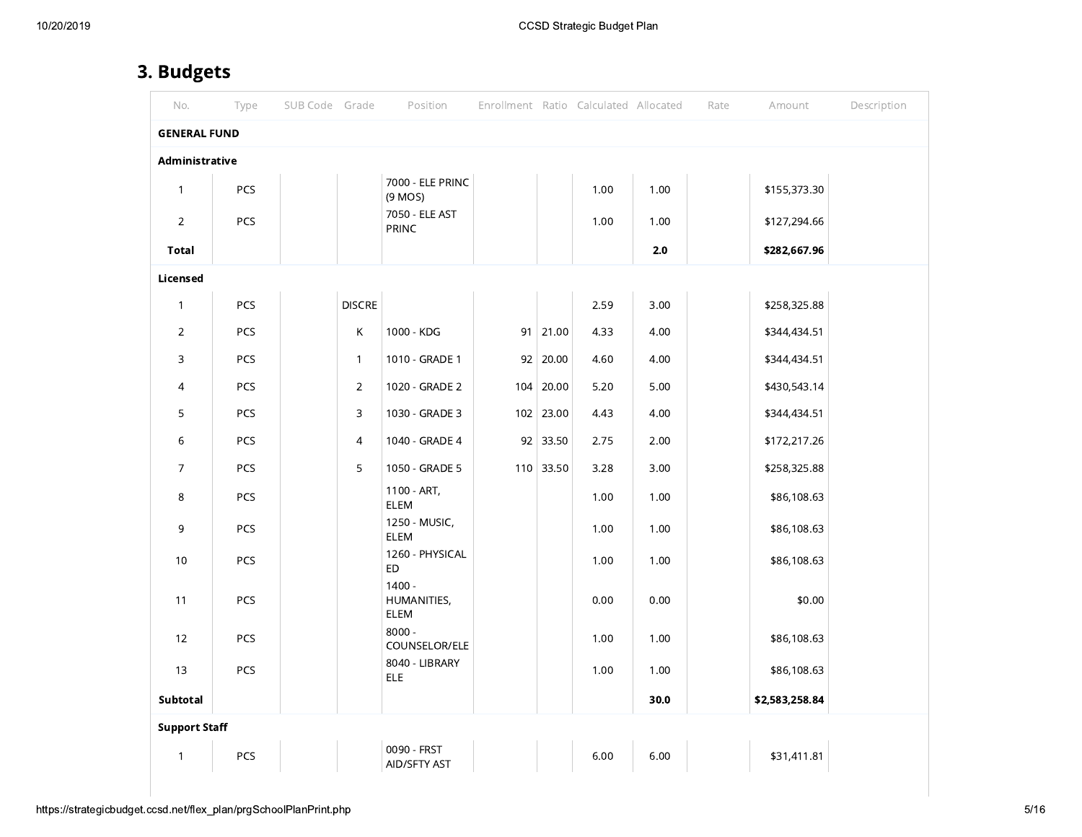# 3. Budgets

| No.                  | Type | SUB Code Grade |                | Position                               |                 | Enrollment Ratio Calculated Allocated |       | Rate | Amount         | Description |
|----------------------|------|----------------|----------------|----------------------------------------|-----------------|---------------------------------------|-------|------|----------------|-------------|
| <b>GENERAL FUND</b>  |      |                |                |                                        |                 |                                       |       |      |                |             |
| Administrative       |      |                |                |                                        |                 |                                       |       |      |                |             |
| $\mathbf{1}$         | PCS  |                |                | 7000 - ELE PRINC<br>(9 MOS)            |                 | 1.00                                  | 1.00  |      | \$155,373.30   |             |
| $\overline{2}$       | PCS  |                |                | 7050 - ELE AST<br><b>PRINC</b>         |                 | 1.00                                  | 1.00  |      | \$127,294.66   |             |
| <b>Total</b>         |      |                |                |                                        |                 |                                       | $2.0$ |      | \$282,667.96   |             |
| Licensed             |      |                |                |                                        |                 |                                       |       |      |                |             |
| $\mathbf{1}$         | PCS  |                | <b>DISCRE</b>  |                                        |                 | 2.59                                  | 3.00  |      | \$258,325.88   |             |
| $\overline{2}$       | PCS  |                | Κ              | 1000 - KDG                             | $91 \mid 21.00$ | 4.33                                  | 4.00  |      | \$344,434.51   |             |
| 3                    | PCS  |                | $\mathbf{1}$   | 1010 - GRADE 1                         | $92 \mid 20.00$ | 4.60                                  | 4.00  |      | \$344,434.51   |             |
| 4                    | PCS  |                | $\overline{2}$ | 1020 - GRADE 2                         | $104$ 20.00     | 5.20                                  | 5.00  |      | \$430,543.14   |             |
| 5                    | PCS  |                | 3              | 1030 - GRADE 3                         | $102$ 23.00     | 4.43                                  | 4.00  |      | \$344,434.51   |             |
| 6                    | PCS  |                | $\overline{4}$ | 1040 - GRADE 4                         | $92 \mid 33.50$ | 2.75                                  | 2.00  |      | \$172,217.26   |             |
| $\overline{7}$       | PCS  |                | 5              | 1050 - GRADE 5                         | $110$ 33.50     | 3.28                                  | 3.00  |      | \$258,325.88   |             |
| 8                    | PCS  |                |                | 1100 - ART,<br><b>ELEM</b>             |                 | 1.00                                  | 1.00  |      | \$86,108.63    |             |
| 9                    | PCS  |                |                | 1250 - MUSIC,<br>ELEM                  |                 | 1.00                                  | 1.00  |      | \$86,108.63    |             |
| 10                   | PCS  |                |                | 1260 - PHYSICAL<br>ED                  |                 | 1.00                                  | 1.00  |      | \$86,108.63    |             |
| 11                   | PCS  |                |                | $1400 -$<br>HUMANITIES,<br><b>ELEM</b> |                 | 0.00                                  | 0.00  |      | \$0.00         |             |
| 12                   | PCS  |                |                | $8000 -$<br>COUNSELOR/ELE              |                 | 1.00                                  | 1.00  |      | \$86,108.63    |             |
| 13                   | PCS  |                |                | 8040 - LIBRARY<br><b>ELE</b>           |                 | 1.00                                  | 1.00  |      | \$86,108.63    |             |
| Subtotal             |      |                |                |                                        |                 |                                       | 30.0  |      | \$2,583,258.84 |             |
| <b>Support Staff</b> |      |                |                |                                        |                 |                                       |       |      |                |             |
| $\mathbf{1}$         | PCS  |                |                | 0090 - FRST<br>AID/SFTY AST            |                 | 6.00                                  | 6.00  |      | \$31,411.81    |             |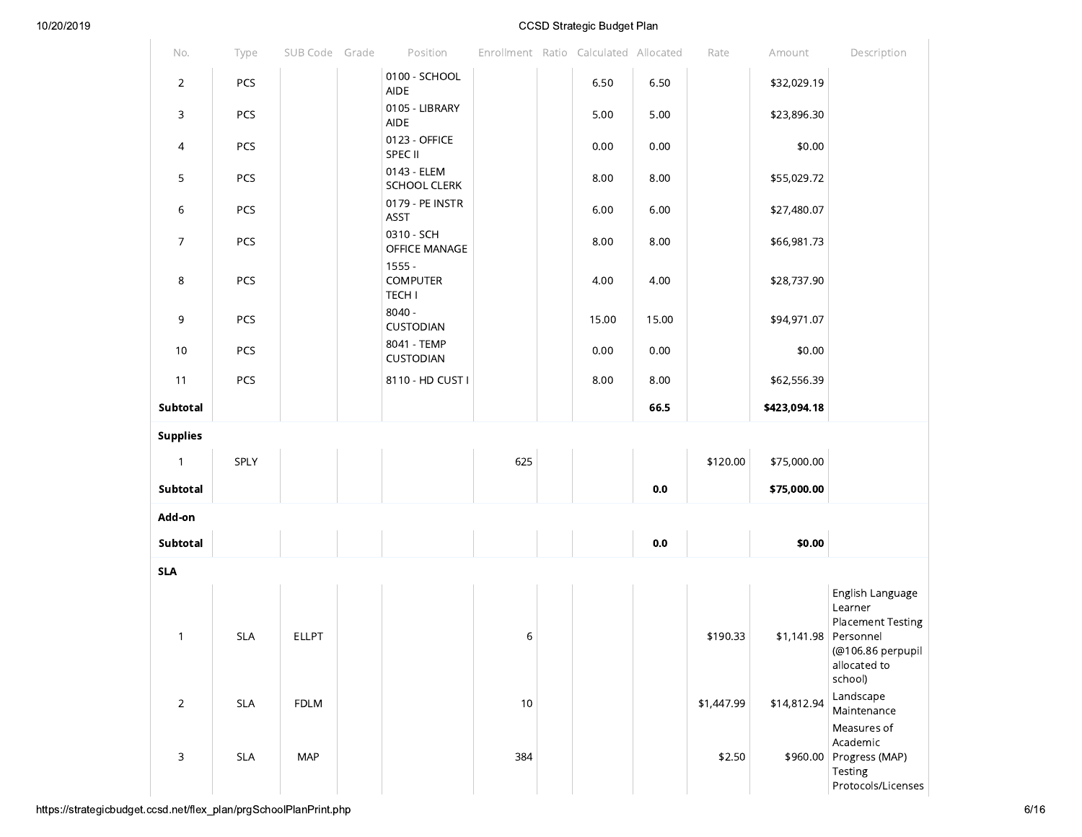|                 |            |                |                                              |      | ooob onalogio baagon ilan             |                |            |              |                                                                                                                      |
|-----------------|------------|----------------|----------------------------------------------|------|---------------------------------------|----------------|------------|--------------|----------------------------------------------------------------------------------------------------------------------|
| No.             | Type       | SUB Code Grade | Position                                     |      | Enrollment Ratio Calculated Allocated |                | Rate       | Amount       | Description                                                                                                          |
| $\overline{2}$  | PCS        |                | 0100 - SCHOOL<br><b>AIDE</b>                 |      | 6.50                                  | 6.50           |            | \$32,029.19  |                                                                                                                      |
| 3               | PCS        |                | 0105 - LIBRARY<br><b>AIDE</b>                |      | 5.00                                  | 5.00           |            | \$23,896.30  |                                                                                                                      |
| 4               | PCS        |                | 0123 - OFFICE<br>SPEC II                     |      | 0.00                                  | 0.00           |            | \$0.00       |                                                                                                                      |
| 5               | PCS        |                | 0143 - ELEM<br><b>SCHOOL CLERK</b>           |      | 8.00                                  | 8.00           |            | \$55,029.72  |                                                                                                                      |
| 6               | PCS        |                | 0179 - PE INSTR<br>ASST                      |      | 6.00                                  | 6.00           |            | \$27,480.07  |                                                                                                                      |
| $\overline{7}$  | PCS        |                | 0310 - SCH<br>OFFICE MANAGE                  |      | 8.00                                  | 8.00           |            | \$66,981.73  |                                                                                                                      |
| $\,8\,$         | PCS        |                | $1555 -$<br><b>COMPUTER</b><br><b>TECH I</b> |      | 4.00                                  | 4.00           |            | \$28,737.90  |                                                                                                                      |
| 9               | PCS        |                | $8040 -$<br>CUSTODIAN                        |      | 15.00                                 | 15.00          |            | \$94,971.07  |                                                                                                                      |
| 10              | PCS        |                | 8041 - TEMP<br>CUSTODIAN                     |      | 0.00                                  | 0.00           |            | \$0.00       |                                                                                                                      |
| 11              | PCS        |                | 8110 - HD CUST I                             |      | 8.00                                  | 8.00           |            | \$62,556.39  |                                                                                                                      |
| Subtotal        |            |                |                                              |      |                                       | 66.5           |            | \$423,094.18 |                                                                                                                      |
| <b>Supplies</b> |            |                |                                              |      |                                       |                |            |              |                                                                                                                      |
| $\mathbf{1}$    | SPLY       |                |                                              | 625  |                                       |                | \$120.00   | \$75,000.00  |                                                                                                                      |
| Subtotal        |            |                |                                              |      |                                       | 0.0            |            | \$75,000.00  |                                                                                                                      |
| Add-on          |            |                |                                              |      |                                       |                |            |              |                                                                                                                      |
| Subtotal        |            |                |                                              |      |                                       | $\mathbf{0.0}$ |            | \$0.00       |                                                                                                                      |
| <b>SLA</b>      |            |                |                                              |      |                                       |                |            |              |                                                                                                                      |
| $\mathbf{1}$    | <b>SLA</b> | <b>ELLPT</b>   |                                              | 6    |                                       |                | \$190.33   |              | English Language<br>Learner<br><b>Placement Testing</b><br>\$1,141.98 Personnel<br>(@106.86 perpupil<br>allocated to |
| $\overline{2}$  | <b>SLA</b> | FDLM           |                                              | $10$ |                                       |                | \$1,447.99 | \$14,812.94  | school)<br>Landscape<br>Maintenance                                                                                  |
| 3               | <b>SLA</b> | <b>MAP</b>     |                                              | 384  |                                       |                | \$2.50     |              | Measures of<br>Academic<br>\$960.00 Progress (MAP)<br>Testing<br>Protocols/Licenses                                  |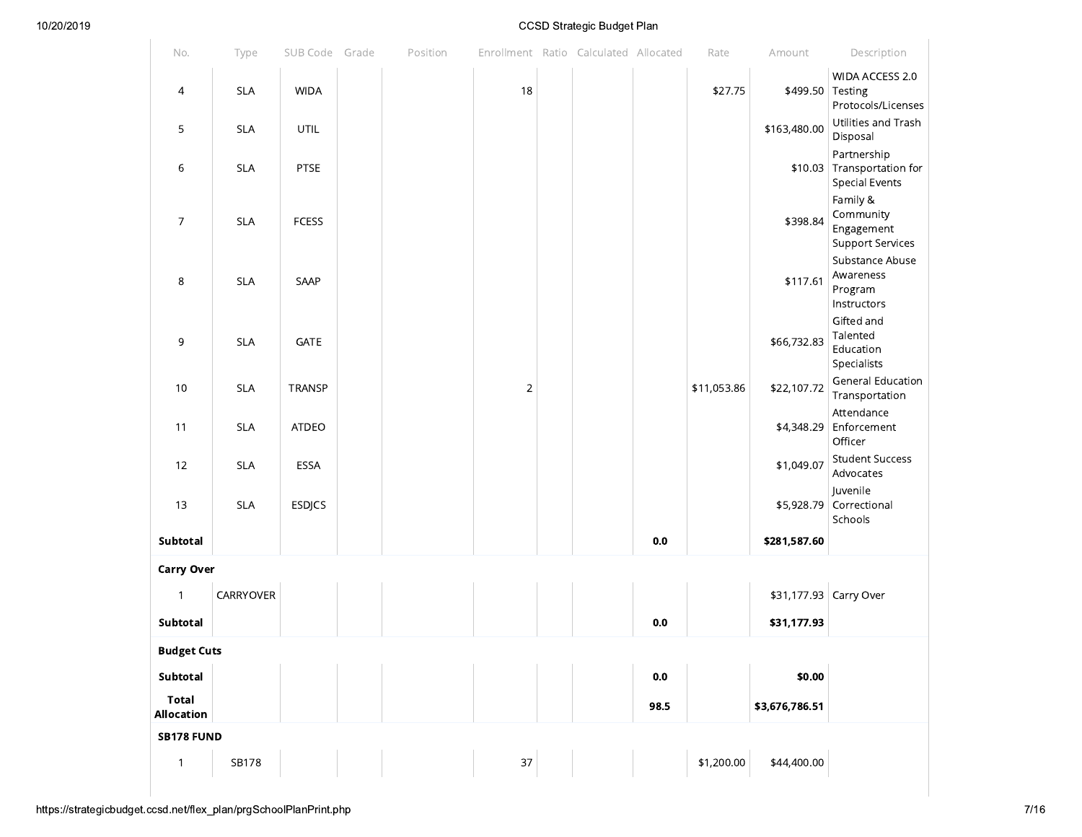| No.                 | Type       | SUB Code Grade | Position | Enrollment Ratio Calculated Allocated |  |         | Rate        | Amount           | Description                                                        |
|---------------------|------------|----------------|----------|---------------------------------------|--|---------|-------------|------------------|--------------------------------------------------------------------|
| 4                   | <b>SLA</b> | <b>WIDA</b>    |          | 18                                    |  |         | \$27.75     | \$499.50 Testing | WIDA ACCESS 2.0<br>Protocols/Licenses                              |
| 5                   | <b>SLA</b> | UTIL           |          |                                       |  |         |             | \$163,480.00     | Utilities and Trash<br>Disposal                                    |
| 6                   | <b>SLA</b> | PTSE           |          |                                       |  |         |             |                  | Partnership<br>\$10.03 Transportation for<br><b>Special Events</b> |
| $\overline{7}$      | <b>SLA</b> | <b>FCESS</b>   |          |                                       |  |         |             | \$398.84         | Family &<br>Community<br>Engagement<br><b>Support Services</b>     |
| 8                   | <b>SLA</b> | SAAP           |          |                                       |  |         |             | \$117.61         | Substance Abuse<br>Awareness<br>Program<br>Instructors             |
| 9                   | <b>SLA</b> | GATE           |          |                                       |  |         |             | \$66,732.83      | Gifted and<br>Talented<br>Education<br>Specialists                 |
| 10                  | <b>SLA</b> | TRANSP         |          | $\overline{2}$                        |  |         | \$11,053.86 | \$22,107.72      | <b>General Education</b><br>Transportation                         |
| 11                  | <b>SLA</b> | ATDEO          |          |                                       |  |         |             |                  | Attendance<br>\$4,348.29 Enforcement<br>Officer                    |
| 12                  | <b>SLA</b> | ESSA           |          |                                       |  |         |             | \$1,049.07       | <b>Student Success</b><br>Advocates                                |
| 13                  | <b>SLA</b> | <b>ESDJCS</b>  |          |                                       |  |         |             | \$5,928.79       | Juvenile<br>Correctional<br>Schools                                |
| Subtotal            |            |                |          |                                       |  | $0.0\,$ |             | \$281,587.60     |                                                                    |
| <b>Carry Over</b>   |            |                |          |                                       |  |         |             |                  |                                                                    |
| $\mathbf{1}$        | CARRYOVER  |                |          |                                       |  |         |             |                  | \$31,177.93 Carry Over                                             |
| Subtotal            |            |                |          |                                       |  | 0.0     |             | \$31,177.93      |                                                                    |
| <b>Budget Cuts</b>  |            |                |          |                                       |  |         |             |                  |                                                                    |
| Subtotal            |            |                |          |                                       |  | $0.0\,$ |             | \$0.00           |                                                                    |
| Total<br>Allocation |            |                |          |                                       |  | 98.5    |             | \$3,676,786.51   |                                                                    |
| <b>SB178 FUND</b>   |            |                |          |                                       |  |         |             |                  |                                                                    |
| $\mathbf{1}$        | SB178      |                |          | 37                                    |  |         | \$1,200.00  | \$44,400.00      |                                                                    |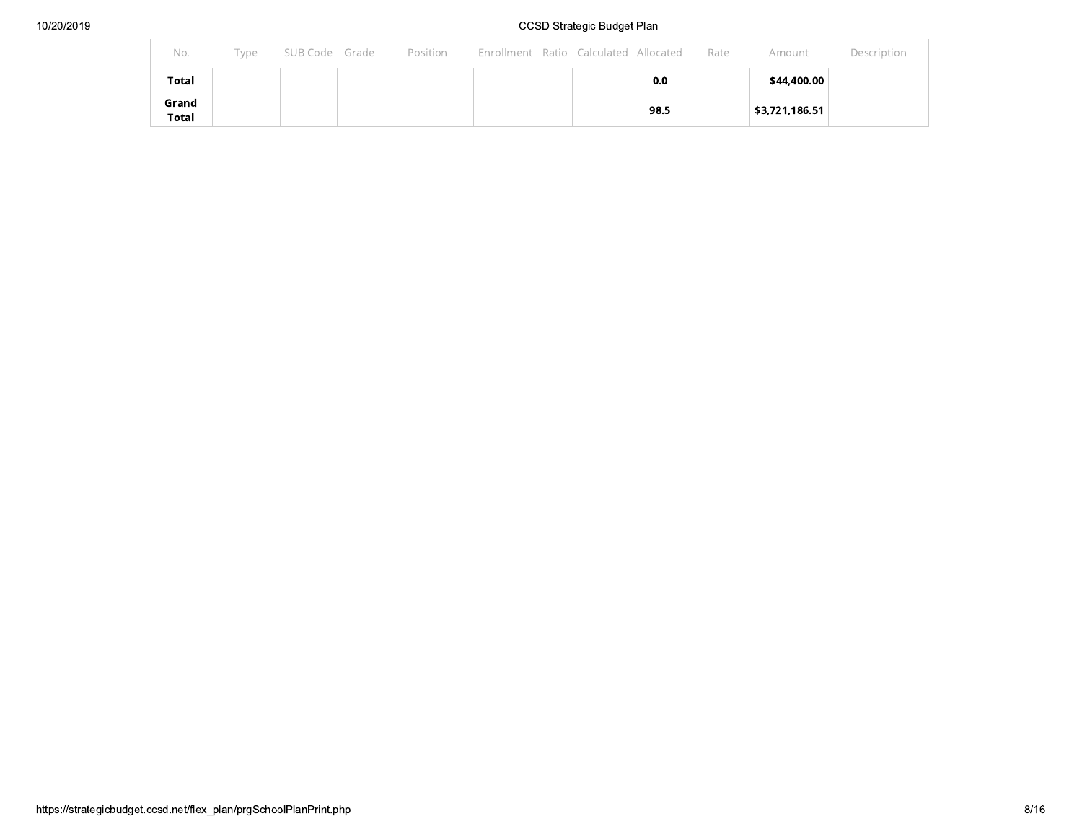| No.                   | Type | SUB Code Grade | Position | Enrollment Ratio Calculated Allocated |  |      | Rate | Amount         | Description |
|-----------------------|------|----------------|----------|---------------------------------------|--|------|------|----------------|-------------|
| Total                 |      |                |          |                                       |  | 0.0  |      | \$44,400.00    |             |
| Grand<br><b>Total</b> |      |                |          |                                       |  | 98.5 |      | \$3,721,186.51 |             |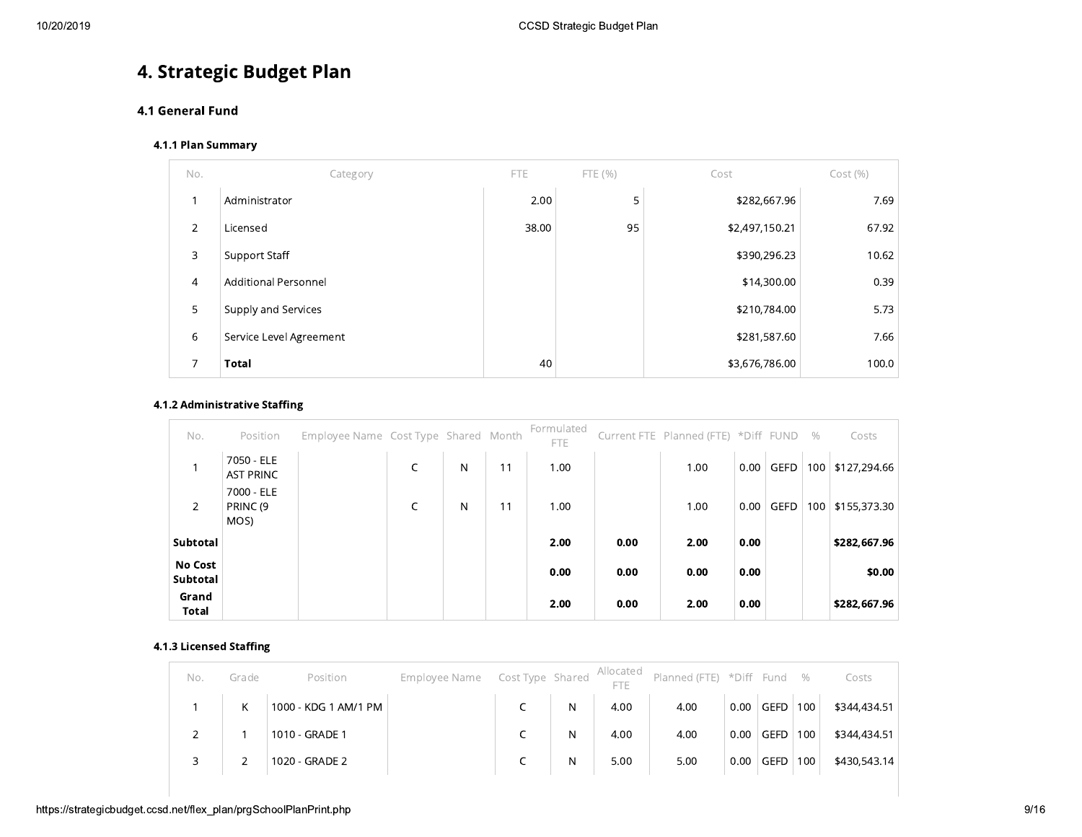# 4. Strategic Budget Plan

## 4.1 General Fund

## 4.1.1 Plan Summary

| No.            | Category                    | <b>FTE</b> | FTE (%) | Cost           | Cost(%) |
|----------------|-----------------------------|------------|---------|----------------|---------|
|                | Administrator               | 2.00       | 5       | \$282,667.96   | 7.69    |
| $\overline{2}$ | Licensed                    | 38.00      | 95      | \$2,497,150.21 | 67.92   |
| 3              | Support Staff               |            |         | \$390,296.23   | 10.62   |
| $\overline{4}$ | <b>Additional Personnel</b> |            |         | \$14,300.00    | 0.39    |
| 5              | Supply and Services         |            |         | \$210,784.00   | 5.73    |
| 6              | Service Level Agreement     |            |         | \$281,587.60   | 7.66    |
| 7              | <b>Total</b>                | 40         |         | \$3,676,786.00 | 100.0   |

#### 4.1.2 Administrative Staffing

| No.                        | Position                                  | Employee Name Cost Type Shared Month |            |   |    | Formulated<br>FTE. |      | Current FTE Planned (FTE) *Diff FUND |      |             | $\%$ | Costs        |
|----------------------------|-------------------------------------------|--------------------------------------|------------|---|----|--------------------|------|--------------------------------------|------|-------------|------|--------------|
|                            | 7050 - ELE<br><b>AST PRINC</b>            |                                      | $\sqrt{2}$ | N | 11 | 1.00               |      | 1.00                                 | 0.00 | <b>GEFD</b> | 100  | \$127,294.66 |
| $\overline{2}$             | 7000 - ELE<br>PRINC <sub>(9</sub><br>MOS) |                                      |            | N | 11 | 1.00               |      | 1.00                                 | 0.00 | <b>GEFD</b> | 100  | \$155,373.30 |
| Subtotal                   |                                           |                                      |            |   |    | 2.00               | 0.00 | 2.00                                 | 0.00 |             |      | \$282,667.96 |
| <b>No Cost</b><br>Subtotal |                                           |                                      |            |   |    | 0.00               | 0.00 | 0.00                                 | 0.00 |             |      | \$0.00       |
| Grand<br>Total             |                                           |                                      |            |   |    | 2.00               | 0.00 | 2.00                                 | 0.00 |             |      | \$282,667.96 |

## 4.1.3 Licensed Staffing

| No. | Grade | Position             | Employee Name  Cost Type Shared  Allocated |   |      | Planned (FTE) *Diff Fund % |      |             |     | Costs        |
|-----|-------|----------------------|--------------------------------------------|---|------|----------------------------|------|-------------|-----|--------------|
|     | K.    | 1000 - KDG 1 AM/1 PM |                                            | N | 4.00 | 4.00                       | 0.00 | <b>GEFD</b> | 100 | \$344,434.51 |
|     |       | 1010 - GRADE 1       |                                            | N | 4.00 | 4.00                       | 0.00 | <b>GEFD</b> | 100 | \$344,434.51 |
| 3   |       | 1020 - GRADE 2       |                                            | N | 5.00 | 5.00                       | 0.00 | <b>GEFD</b> | 100 | \$430,543.14 |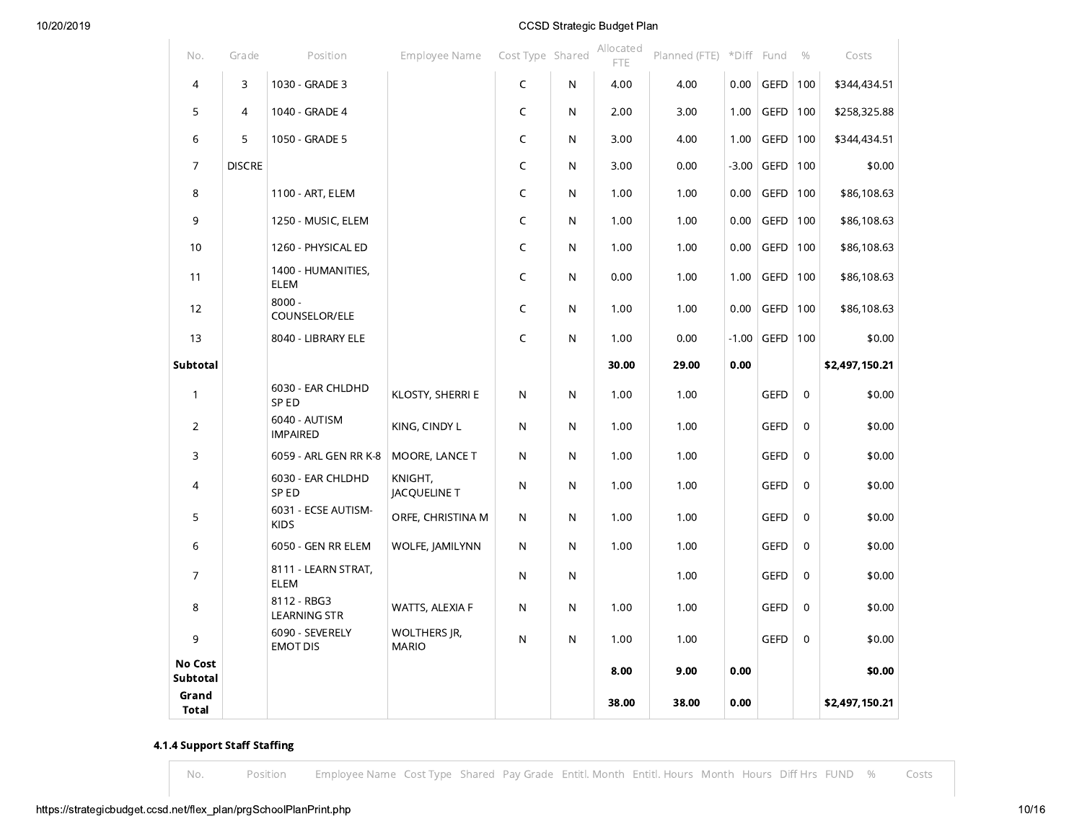| No.                 | Grade          | Position                           | Employee Name                | Cost Type Shared |              | Allocated<br><b>FTE</b> | Planned (FTE) *Diff Fund |         |             | $\%$        | Costs          |
|---------------------|----------------|------------------------------------|------------------------------|------------------|--------------|-------------------------|--------------------------|---------|-------------|-------------|----------------|
| $\overline{4}$      | 3              | 1030 - GRADE 3                     |                              | C                | N            | 4.00                    | 4.00                     | 0.00    | <b>GEFD</b> | 100         | \$344,434.51   |
| 5                   | $\overline{4}$ | 1040 - GRADE 4                     |                              | C                | N            | 2.00                    | 3.00                     | 1.00    | GEFD        | 100         | \$258,325.88   |
| 6                   | 5              | 1050 - GRADE 5                     |                              | C                | N            | 3.00                    | 4.00                     | 1.00    | <b>GEFD</b> | 100         | \$344,434.51   |
| $\overline{7}$      | <b>DISCRE</b>  |                                    |                              | C                | N            | 3.00                    | 0.00                     | $-3.00$ | <b>GEFD</b> | 100         | \$0.00         |
| 8                   |                | 1100 - ART, ELEM                   |                              | C                | N            | 1.00                    | 1.00                     | 0.00    | <b>GEFD</b> | 100         | \$86,108.63    |
| 9                   |                | 1250 - MUSIC, ELEM                 |                              | C                | N            | 1.00                    | 1.00                     | 0.00    | <b>GEFD</b> | 100         | \$86,108.63    |
| 10                  |                | 1260 - PHYSICAL ED                 |                              | C                | N            | 1.00                    | 1.00                     | 0.00    | <b>GEFD</b> | 100         | \$86,108.63    |
| 11                  |                | 1400 - HUMANITIES,<br>ELEM         |                              | C                | N            | 0.00                    | 1.00                     | 1.00    | <b>GEFD</b> | 100         | \$86,108.63    |
| 12                  |                | $8000 -$<br>COUNSELOR/ELE          |                              | C                | N            | 1.00                    | 1.00                     | 0.00    | <b>GEFD</b> | 100         | \$86,108.63    |
| 13                  |                | 8040 - LIBRARY ELE                 |                              | C                | $\mathsf{N}$ | 1.00                    | 0.00                     | $-1.00$ | <b>GEFD</b> | 100         | \$0.00         |
| Subtotal            |                |                                    |                              |                  |              | 30.00                   | 29.00                    | 0.00    |             |             | \$2,497,150.21 |
| $\mathbf{1}$        |                | 6030 - EAR CHLDHD<br>SP ED         | KLOSTY, SHERRI E             | $\mathsf{N}$     | $\mathsf{N}$ | 1.00                    | 1.00                     |         | <b>GEFD</b> | 0           | \$0.00         |
| $\overline{2}$      |                | 6040 - AUTISM<br><b>IMPAIRED</b>   | KING, CINDY L                | ${\sf N}$        | $\mathsf{N}$ | 1.00                    | 1.00                     |         | <b>GEFD</b> | 0           | \$0.00         |
| 3                   |                | 6059 - ARL GEN RR K-8              | MOORE, LANCE T               | $\mathsf{N}$     | N            | 1.00                    | 1.00                     |         | <b>GEFD</b> | 0           | \$0.00         |
| 4                   |                | 6030 - EAR CHLDHD<br>SP ED         | KNIGHT,<br>JACQUELINE T      | $\mathsf{N}$     | $\mathsf{N}$ | 1.00                    | 1.00                     |         | <b>GEFD</b> | 0           | \$0.00         |
| 5                   |                | 6031 - ECSE AUTISM-<br><b>KIDS</b> | ORFE, CHRISTINA M            | $\mathsf{N}$     | N            | 1.00                    | 1.00                     |         | <b>GEFD</b> | 0           | \$0.00         |
| 6                   |                | 6050 - GEN RR ELEM                 | WOLFE, JAMILYNN              | $\mathsf{N}$     | N            | 1.00                    | 1.00                     |         | <b>GEFD</b> | 0           | \$0.00         |
| 7                   |                | 8111 - LEARN STRAT,<br>ELEM        |                              | N                | N            |                         | 1.00                     |         | <b>GEFD</b> | 0           | \$0.00         |
| 8                   |                | 8112 - RBG3<br><b>LEARNING STR</b> | WATTS, ALEXIA F              | $\mathsf{N}$     | $\mathsf{N}$ | 1.00                    | 1.00                     |         | <b>GEFD</b> | 0           | \$0.00         |
| 9                   |                | 6090 - SEVERELY<br><b>EMOT DIS</b> | WOLTHERS JR,<br><b>MARIO</b> | $\mathsf{N}$     | $\mathsf{N}$ | 1.00                    | 1.00                     |         | <b>GEFD</b> | $\mathbf 0$ | \$0.00         |
| No Cost<br>Subtotal |                |                                    |                              |                  |              | 8.00                    | 9.00                     | 0.00    |             |             | \$0.00         |
| Grand<br>Total      |                |                                    |                              |                  |              | 38.00                   | 38.00                    | 0.00    |             |             | \$2,497,150.21 |

## 4.1.4 Support Staff Staffing

 $No.$ 

Position Employee Name Cost Type Shared Pay Grade Entitl. Month Entitl. Hours Month Hours Diff Hrs FUND % Costs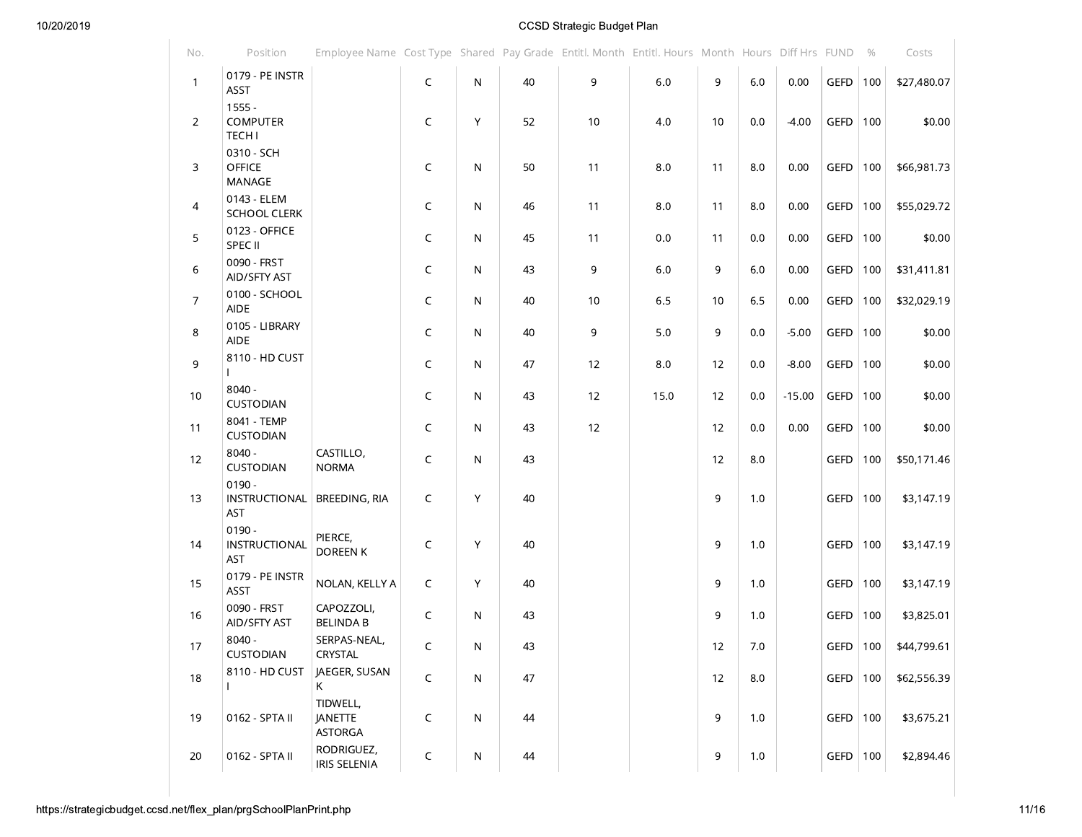| No.            | Position                                     | Employee Name Cost Type Shared Pay Grade Entitl. Month Entitl. Hours Month Hours Diff Hrs FUND |              |              |    |    |      |    |         |          |              | $\%$ | Costs       |
|----------------|----------------------------------------------|------------------------------------------------------------------------------------------------|--------------|--------------|----|----|------|----|---------|----------|--------------|------|-------------|
| $\mathbf{1}$   | 0179 - PE INSTR<br>ASST                      |                                                                                                | $\mathsf C$  | N            | 40 | 9  | 6.0  | 9  | $6.0\,$ | 0.00     | GEFD         | 100  | \$27,480.07 |
| $\overline{2}$ | $1555 -$<br><b>COMPUTER</b><br><b>TECH I</b> |                                                                                                | C            | Y            | 52 | 10 | 4.0  | 10 | 0.0     | $-4.00$  | <b>GEFD</b>  | 100  | \$0.00      |
| 3              | 0310 - SCH<br><b>OFFICE</b><br>MANAGE        |                                                                                                | C            | N            | 50 | 11 | 8.0  | 11 | 8.0     | 0.00     | GEFD         | 100  | \$66,981.73 |
| $\overline{4}$ | 0143 - ELEM<br><b>SCHOOL CLERK</b>           |                                                                                                | C            | N.           | 46 | 11 | 8.0  | 11 | 8.0     | 0.00     | GEFD         | 100  | \$55,029.72 |
| 5              | 0123 - OFFICE<br>SPEC II                     |                                                                                                | C            | N            | 45 | 11 | 0.0  | 11 | 0.0     | 0.00     | GEFD         | 100  | \$0.00      |
| 6              | 0090 - FRST<br>AID/SFTY AST                  |                                                                                                | C            | N            | 43 | 9  | 6.0  | 9  | 6.0     | 0.00     | GEFD         | 100  | \$31,411.81 |
| $\overline{7}$ | 0100 - SCHOOL<br><b>AIDE</b>                 |                                                                                                | C            | N            | 40 | 10 | 6.5  | 10 | 6.5     | 0.00     | GEFD         | 100  | \$32,029.19 |
| 8              | 0105 - LIBRARY<br><b>AIDE</b>                |                                                                                                | C            | N            | 40 | 9  | 5.0  | 9  | 0.0     | $-5.00$  | GEFD         | 100  | \$0.00      |
| 9              | 8110 - HD CUST                               |                                                                                                | C            | N            | 47 | 12 | 8.0  | 12 | 0.0     | $-8.00$  | <b>GEFD</b>  | 100  | \$0.00      |
| 10             | $8040 -$<br>CUSTODIAN                        |                                                                                                | C            | N.           | 43 | 12 | 15.0 | 12 | 0.0     | $-15.00$ | GEFD         | 100  | \$0.00      |
| 11             | 8041 - TEMP<br>CUSTODIAN                     |                                                                                                | C            | N            | 43 | 12 |      | 12 | 0.0     | 0.00     | <b>GEFD</b>  | 100  | \$0.00      |
| 12             | $8040 -$<br><b>CUSTODIAN</b>                 | CASTILLO,<br><b>NORMA</b>                                                                      | C            | N            | 43 |    |      | 12 | 8.0     |          | <b>GEFD</b>  | 100  | \$50,171.46 |
| 13             | $0190 -$<br>INSTRUCTIONAL<br><b>AST</b>      | BREEDING, RIA                                                                                  | C            | Y            | 40 |    |      | 9  | 1.0     |          | <b>GEFD</b>  | 100  | \$3,147.19  |
| 14             | $0190 -$<br>INSTRUCTIONAL<br><b>AST</b>      | PIERCE,<br>DOREEN K                                                                            | C            | Y            | 40 |    |      | 9  | 1.0     |          | GEFD         | 100  | \$3,147.19  |
| 15             | 0179 - PE INSTR<br>ASST                      | NOLAN, KELLY A                                                                                 | C            | Y            | 40 |    |      | 9  | 1.0     |          | GEFD         | 100  | \$3,147.19  |
| 16             | 0090 - FRST<br>AID/SFTY AST                  | CAPOZZOLI,<br><b>BELINDA B</b>                                                                 | C            | N.           | 43 |    |      | 9  | 1.0     |          | <b>GEFD</b>  | 100  | \$3,825.01  |
| 17             | $8040 -$<br>CUSTODIAN                        | SERPAS-NEAL,<br>CRYSTAL                                                                        | $\mathsf{C}$ | N.           | 43 |    |      | 12 | $7.0\,$ |          | GEFD $ 100 $ |      | \$44,799.61 |
| 18             | 8110 - HD CUST                               | JAEGER, SUSAN<br>K                                                                             | C            | $\mathsf{N}$ | 47 |    |      | 12 | 8.0     |          | GEFD         | 100  | \$62,556.39 |
| 19             | 0162 - SPTA II                               | TIDWELL,<br>JANETTE<br><b>ASTORGA</b>                                                          | C            | $\mathsf{N}$ | 44 |    |      | 9  | 1.0     |          | GEFD         | 100  | \$3,675.21  |
| 20             | 0162 - SPTA II                               | RODRIGUEZ,<br><b>IRIS SELENIA</b>                                                              | C            | ${\sf N}$    | 44 |    |      | 9  | 1.0     |          | GEFD         | 100  | \$2,894.46  |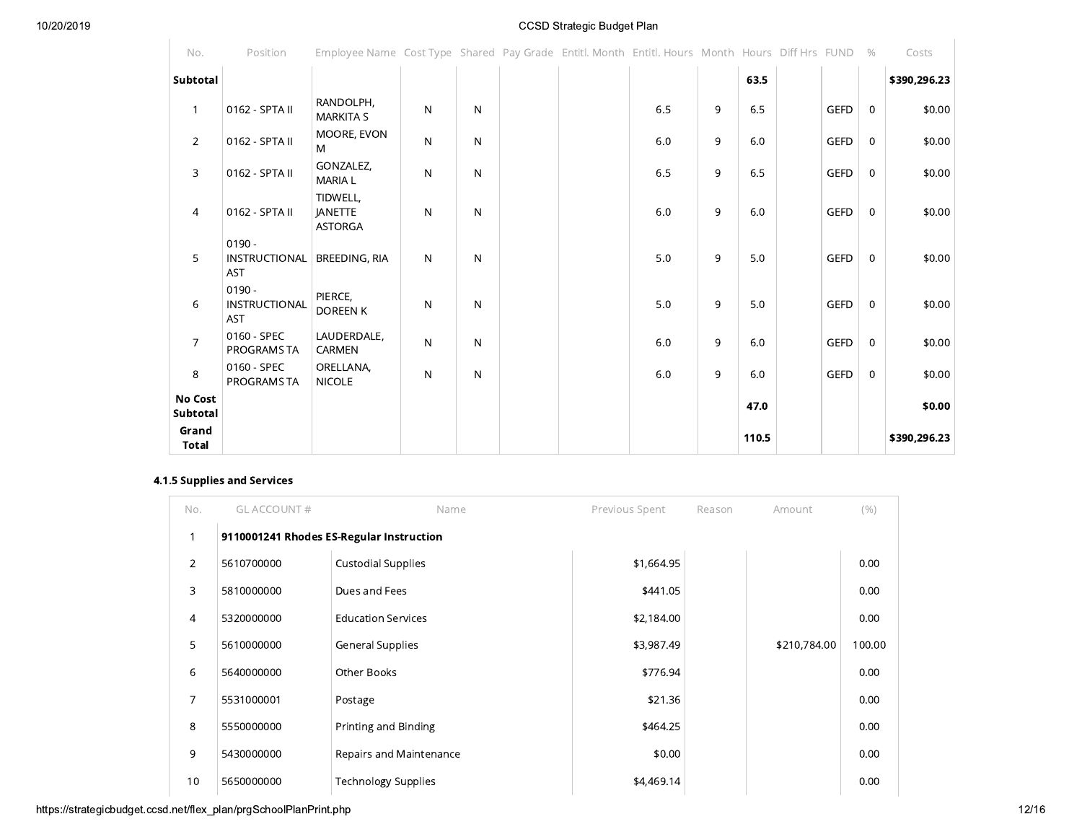| No.                        | Position                                | Employee Name Cost Type Shared Pay Grade Entitl. Month Entitl. Hours Month Hours Diff Hrs FUND % |              |              |  |     |   |       |             |             | Costs        |
|----------------------------|-----------------------------------------|--------------------------------------------------------------------------------------------------|--------------|--------------|--|-----|---|-------|-------------|-------------|--------------|
| Subtotal                   |                                         |                                                                                                  |              |              |  |     |   | 63.5  |             |             | \$390,296.23 |
| $\mathbf{1}$               | 0162 - SPTA II                          | RANDOLPH,<br><b>MARKITA S</b>                                                                    | $\mathsf{N}$ | N            |  | 6.5 | 9 | 6.5   | <b>GEFD</b> | 0           | \$0.00       |
| $\overline{2}$             | 0162 - SPTA II                          | MOORE, EVON<br>M                                                                                 | $\mathsf{N}$ | $\mathsf{N}$ |  | 6.0 | 9 | 6.0   | <b>GEFD</b> | $\mathbf 0$ | \$0.00       |
| 3                          | 0162 - SPTA II                          | GONZALEZ,<br><b>MARIA L</b>                                                                      | $\mathsf{N}$ | N            |  | 6.5 | 9 | 6.5   | <b>GEFD</b> | $\mathbf 0$ | \$0.00       |
| $\overline{4}$             | 0162 - SPTA II                          | TIDWELL,<br><b>JANETTE</b><br><b>ASTORGA</b>                                                     | $\mathsf{N}$ | N            |  | 6.0 | 9 | 6.0   | <b>GEFD</b> | $\mathbf 0$ | \$0.00       |
| 5                          | $0190 -$<br>INSTRUCTIONAL<br><b>AST</b> | <b>BREEDING, RIA</b>                                                                             | $\mathsf{N}$ | N            |  | 5.0 | 9 | 5.0   | <b>GEFD</b> | $\mathbf 0$ | \$0.00       |
| 6                          | $0190 -$<br>INSTRUCTIONAL<br><b>AST</b> | PIERCE,<br>DOREEN K                                                                              | $\mathsf{N}$ | N            |  | 5.0 | 9 | 5.0   | <b>GEFD</b> | 0           | \$0.00       |
| $\overline{7}$             | 0160 - SPEC<br>PROGRAMS TA              | LAUDERDALE,<br>CARMEN                                                                            | $\mathsf{N}$ | N            |  | 6.0 | 9 | 6.0   | <b>GEFD</b> | 0           | \$0.00       |
| 8                          | 0160 - SPEC<br>PROGRAMS TA              | ORELLANA,<br><b>NICOLE</b>                                                                       | $\mathsf{N}$ | $\mathsf{N}$ |  | 6.0 | 9 | 6.0   | <b>GEFD</b> | $\mathbf 0$ | \$0.00       |
| <b>No Cost</b><br>Subtotal |                                         |                                                                                                  |              |              |  |     |   | 47.0  |             |             | \$0.00       |
| Grand<br>Total             |                                         |                                                                                                  |              |              |  |     |   | 110.5 |             |             | \$390,296.23 |

## 4.1.5 Supplies and Services

| No.            | <b>GLACCOUNT#</b> | Name                                     | Previous Spent | Reason | Amount       | (% )   |
|----------------|-------------------|------------------------------------------|----------------|--------|--------------|--------|
|                |                   | 9110001241 Rhodes ES-Regular Instruction |                |        |              |        |
| 2              | 5610700000        | <b>Custodial Supplies</b>                | \$1,664.95     |        |              | 0.00   |
| 3              | 5810000000        | Dues and Fees                            | \$441.05       |        |              | 0.00   |
| $\overline{4}$ | 5320000000        | <b>Education Services</b>                | \$2,184.00     |        |              | 0.00   |
| 5              | 5610000000        | <b>General Supplies</b>                  | \$3,987.49     |        | \$210,784.00 | 100.00 |
| 6              | 5640000000        | Other Books                              | \$776.94       |        |              | 0.00   |
| 7              | 5531000001        | Postage                                  | \$21.36        |        |              | 0.00   |
| 8              | 5550000000        | Printing and Binding                     | \$464.25       |        |              | 0.00   |
| 9              | 5430000000        | Repairs and Maintenance                  | \$0.00         |        |              | 0.00   |
| 10             | 5650000000        | <b>Technology Supplies</b>               | \$4,469.14     |        |              | 0.00   |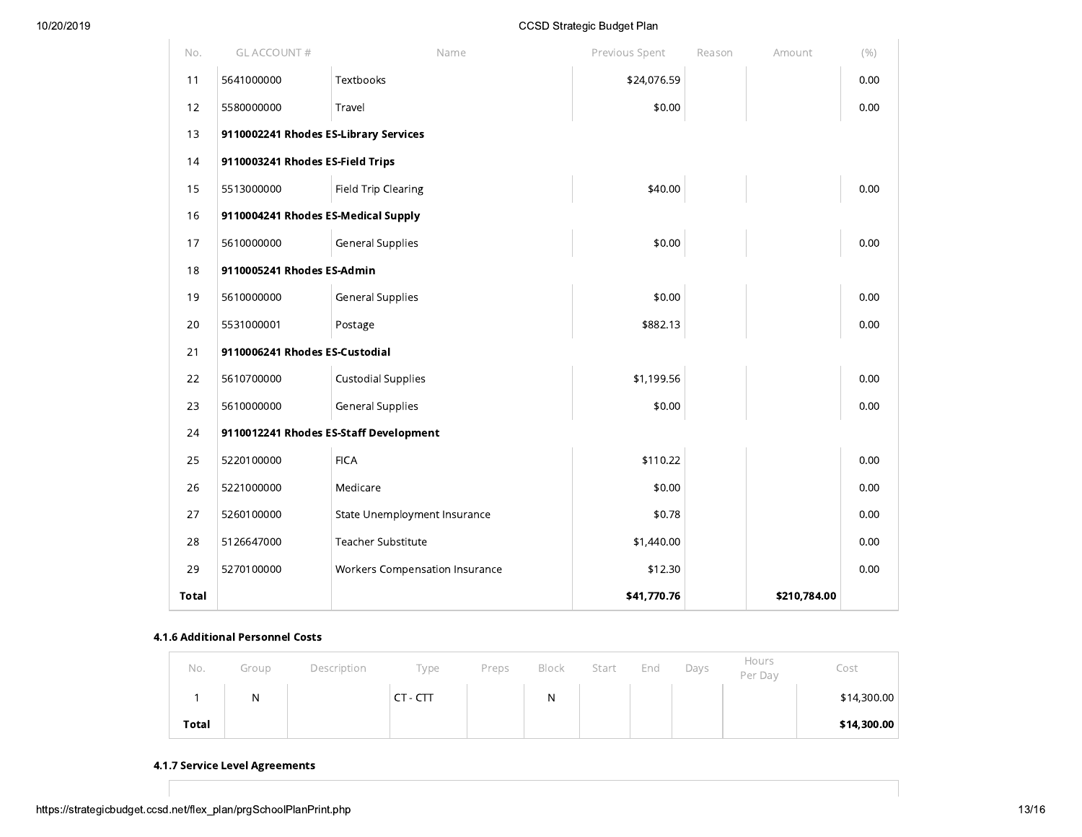| No.          | GL ACCOUNT #                          | Name                                   | Previous Spent | Reason | Amount       | (% ) |
|--------------|---------------------------------------|----------------------------------------|----------------|--------|--------------|------|
| 11           | 5641000000                            | Textbooks                              | \$24,076.59    |        |              | 0.00 |
| 12           | 5580000000                            | Travel                                 | \$0.00         |        |              | 0.00 |
| 13           | 9110002241 Rhodes ES-Library Services |                                        |                |        |              |      |
| 14           | 9110003241 Rhodes ES-Field Trips      |                                        |                |        |              |      |
| 15           | 5513000000                            | Field Trip Clearing                    | \$40.00        |        |              | 0.00 |
| 16           | 9110004241 Rhodes ES-Medical Supply   |                                        |                |        |              |      |
| 17           | 5610000000                            | <b>General Supplies</b>                | \$0.00         |        |              | 0.00 |
| 18           | 9110005241 Rhodes ES-Admin            |                                        |                |        |              |      |
| 19           | 5610000000                            | <b>General Supplies</b>                | \$0.00         |        |              | 0.00 |
| 20           | 5531000001                            | Postage                                | \$882.13       |        |              | 0.00 |
| 21           | 9110006241 Rhodes ES-Custodial        |                                        |                |        |              |      |
| 22           | 5610700000                            | <b>Custodial Supplies</b>              | \$1,199.56     |        |              | 0.00 |
| 23           | 5610000000                            | General Supplies                       | \$0.00         |        |              | 0.00 |
| 24           |                                       | 9110012241 Rhodes ES-Staff Development |                |        |              |      |
| 25           | 5220100000                            | <b>FICA</b>                            | \$110.22       |        |              | 0.00 |
| 26           | 5221000000                            | Medicare                               | \$0.00         |        |              | 0.00 |
| 27           | 5260100000                            | State Unemployment Insurance           | \$0.78         |        |              | 0.00 |
| 28           | 5126647000                            | <b>Teacher Substitute</b>              | \$1,440.00     |        |              | 0.00 |
| 29           | 5270100000                            | Workers Compensation Insurance         | \$12.30        |        |              | 0.00 |
| <b>Total</b> |                                       |                                        | \$41,770.76    |        | \$210,784.00 |      |

#### 4.1.6 Additional Personnel Costs

| No.   | Group | Description | Type     | Preps | Block | Start | End | Days | Hours<br>Per Day | Cost        |
|-------|-------|-------------|----------|-------|-------|-------|-----|------|------------------|-------------|
|       | N     |             | CT - CTT |       | N     |       |     |      |                  | \$14,300.00 |
| Total |       |             |          |       |       |       |     |      |                  | \$14,300.00 |

## 4.1.7 Service Level Agreements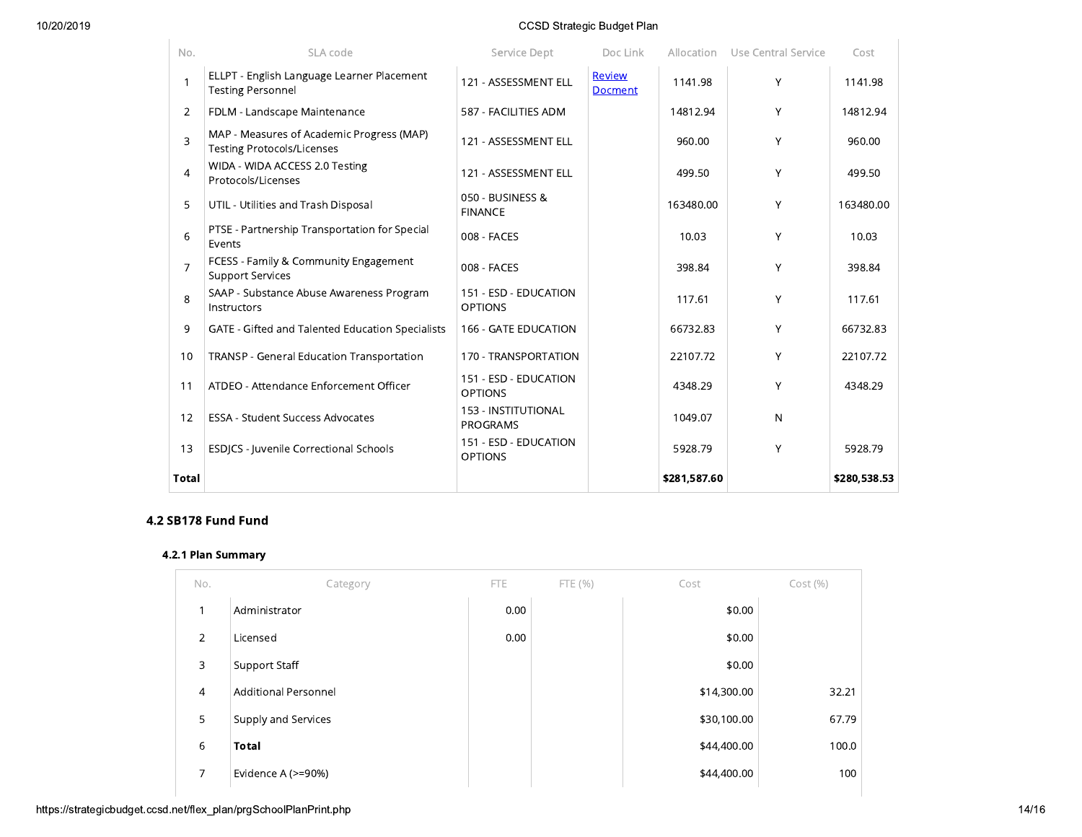#### 10/20/2019

## **CCSD Strategic Budget Plan**

| No.            | SLA code                                                                       | Service Dept                            | Doc Link                 |              | Allocation Use Central Service | Cost         |
|----------------|--------------------------------------------------------------------------------|-----------------------------------------|--------------------------|--------------|--------------------------------|--------------|
| 1              | ELLPT - English Language Learner Placement<br><b>Testing Personnel</b>         | 121 - ASSESSMENT ELL                    | Review<br><b>Docment</b> | 1141.98      | Y                              | 1141.98      |
| $\overline{2}$ | FDLM - Landscape Maintenance                                                   | 587 - FACILITIES ADM                    |                          | 14812.94     | Y                              | 14812.94     |
| 3              | MAP - Measures of Academic Progress (MAP)<br><b>Testing Protocols/Licenses</b> | 121 - ASSESSMENT ELL                    |                          | 960.00       | Y                              | 960.00       |
| $\overline{4}$ | WIDA - WIDA ACCESS 2.0 Testing<br>Protocols/Licenses                           | 121 - ASSESSMENT ELL                    |                          | 499.50       | Y                              | 499.50       |
| 5              | UTIL - Utilities and Trash Disposal                                            | 050 - BUSINESS &<br><b>FINANCE</b>      |                          | 163480.00    | Y                              | 163480.00    |
| 6              | PTSE - Partnership Transportation for Special<br>Events                        | 008 - FACES                             |                          | 10.03        | Y                              | 10.03        |
| $\overline{7}$ | FCESS - Family & Community Engagement<br><b>Support Services</b>               | 008 - FACES                             |                          | 398.84       | Y                              | 398.84       |
| 8              | SAAP - Substance Abuse Awareness Program<br>Instructors                        | 151 - ESD - EDUCATION<br><b>OPTIONS</b> |                          | 117.61       | Y                              | 117.61       |
| 9              | GATE - Gifted and Talented Education Specialists                               | 166 - GATE EDUCATION                    |                          | 66732.83     | Y                              | 66732.83     |
| 10             | TRANSP - General Education Transportation                                      | 170 - TRANSPORTATION                    |                          | 22107.72     | Y                              | 22107.72     |
| 11             | ATDEO - Attendance Enforcement Officer                                         | 151 - ESD - EDUCATION<br><b>OPTIONS</b> |                          | 4348.29      | Y                              | 4348.29      |
| 12             | <b>ESSA - Student Success Advocates</b>                                        | 153 - INSTITUTIONAL<br><b>PROGRAMS</b>  |                          | 1049.07      | $\mathsf{N}$                   |              |
| 13             | ESDJCS - Juvenile Correctional Schools                                         | 151 - ESD - EDUCATION<br><b>OPTIONS</b> |                          | 5928.79      | Y                              | 5928.79      |
| <b>Total</b>   |                                                                                |                                         |                          | \$281,587.60 |                                | \$280,538.53 |

## 4.2 SB178 Fund Fund

## 4.2.1 Plan Summary

| No.            | Category                    | <b>FTE</b> | FTE (%) | Cost        | Cost(%) |
|----------------|-----------------------------|------------|---------|-------------|---------|
| 1              | Administrator               | 0.00       |         | \$0.00      |         |
| 2              | Licensed                    | 0.00       |         | \$0.00      |         |
| 3              | Support Staff               |            |         | \$0.00      |         |
| $\overline{4}$ | <b>Additional Personnel</b> |            |         | \$14,300.00 | 32.21   |
| 5              | Supply and Services         |            |         | \$30,100.00 | 67.79   |
| 6              | <b>Total</b>                |            |         | \$44,400.00 | 100.0   |
| $\overline{7}$ | Evidence A (>=90%)          |            |         | \$44,400.00 | 100     |
|                |                             |            |         |             |         |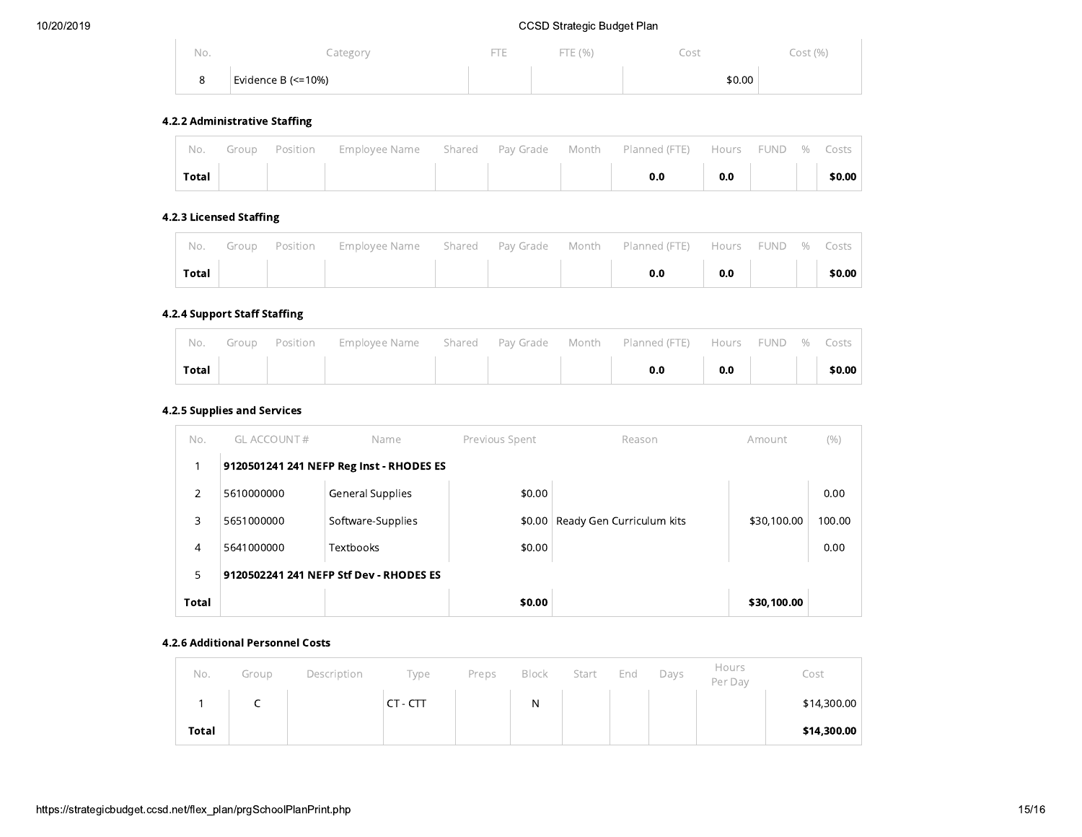| No.         | Category                        | <b>Service</b><br><b>There</b> | ' E (%)<br>$-1$ | _ost   | Cost (%) |
|-------------|---------------------------------|--------------------------------|-----------------|--------|----------|
| $\sim$<br>ີ | <sup>∣</sup> Evidence B (<=10%) |                                |                 | \$0.00 |          |

## 4.2.2 Administrative Staffing

 $\mathcal{L}_{\mathcal{A}}$ 

|               |  | No. Group Position Employee Name Shared Pay Grade Month Planned (FTE) Hours FUND % Costs |  |     |     |  |        |
|---------------|--|------------------------------------------------------------------------------------------|--|-----|-----|--|--------|
| Total $\vert$ |  |                                                                                          |  | 0.0 | 0.0 |  | \$0.00 |

#### 4.2.3 Licensed Staffing

| ' No.        |  | Group Position Employee Name Shared Pay Grade Month Planned (FTE) Hours FUND % Costs |  |  |     |  |        |
|--------------|--|--------------------------------------------------------------------------------------|--|--|-----|--|--------|
| <b>Total</b> |  |                                                                                      |  |  | 0.0 |  | \$0.00 |

## 4.2.4 Support Staff Staffing

|               |  | No. Group Position Employee-Name Shared Pay-Grade Month Planned (FTE) Hours FUND % Costs |  |                                                                                                                      |  |  |
|---------------|--|------------------------------------------------------------------------------------------|--|----------------------------------------------------------------------------------------------------------------------|--|--|
| Total $\vert$ |  |                                                                                          |  | $\begin{array}{ c c c c c c }\hline \text{o.o} & \text{o.o} & \text{ } & \text{ } & \text{ } & \text{ } \end{array}$ |  |  |

## 4.2.5 Supplies and Services

| No.          | <b>GL ACCOUNT #</b>                     | Name                                     | Previous Spent | Reason                    | Amount      | (% )   |  |  |  |  |
|--------------|-----------------------------------------|------------------------------------------|----------------|---------------------------|-------------|--------|--|--|--|--|
|              |                                         | 9120501241 241 NEFP Reg Inst - RHODES ES |                |                           |             |        |  |  |  |  |
| 2            | 5610000000                              | <b>General Supplies</b>                  | \$0.00         |                           |             | 0.00   |  |  |  |  |
| 3            | 5651000000                              | Software-Supplies                        | \$0.00         | Ready Gen Curriculum kits | \$30,100.00 | 100.00 |  |  |  |  |
| 4            | 5641000000                              | Textbooks                                | \$0.00         |                           |             | 0.00   |  |  |  |  |
| 5            | 9120502241 241 NEFP Stf Dev - RHODES ES |                                          |                |                           |             |        |  |  |  |  |
| <b>Total</b> |                                         |                                          | \$0.00         |                           | \$30,100.00 |        |  |  |  |  |

#### 4.2.6 Additional Personnel Costs

| No.          | Group | Description | Type     | Preps | Block | Start | End | Days | Hours<br>Per Dav | Cost        |
|--------------|-------|-------------|----------|-------|-------|-------|-----|------|------------------|-------------|
|              | ∽     |             | CT - CTT |       | N     |       |     |      |                  | \$14,300.00 |
| <b>Total</b> |       |             |          |       |       |       |     |      |                  | \$14,300.00 |